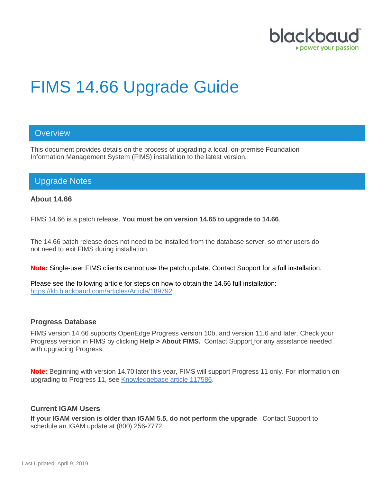

# FIMS 14.66 Upgrade Guide

## **Overview**

This document provides details on the process of upgrading a local, on-premise Foundation Information Management System (FIMS) installation to the latest version.

# Upgrade Notes

#### **About 14.66**

FIMS 14.66 is a patch release. **You must be on version 14.65 to upgrade to 14.66**.

The 14.66 patch release does not need to be installed from the database server, so other users do not need to exit FIMS during installation.

**Note:** Single-user FIMS clients cannot use the patch update. Contact Support for a full installation.

Please see the following article for steps on how to obtain the 14.66 full installation: <https://kb.blackbaud.com/articles/Article/189792>

#### **Progress Database**

FIMS version 14.66 supports OpenEdge Progress version 10b, and version 11.6 and later. Check your Progress version in FIMS by clicking **Help > About FIMS.** Contact Support for any assistance needed with upgrading Progress.

**Note:** Beginning with version 14.70 later this year, FIMS will support Progress 11 only. For information on upgrading to Progress 11, see [Knowledgebase article 117586.](https://kb.blackbaud.com/articles/Article/117586?_ga=2.229194654.345548750.1549898302-1694641167.1503691833)

#### **Current IGAM Users**

**If your IGAM version is older than IGAM 5.5, do not perform the upgrade**. Contact Support to schedule an IGAM update at (800) 256-7772.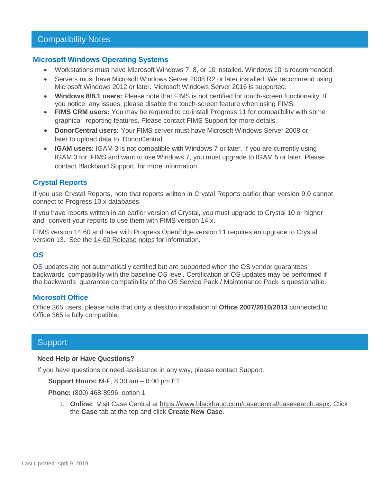## Compatibility Notes

#### **Microsoft Windows Operating Systems**

- Workstations must have Microsoft Windows 7, 8, or 10 installed. Windows 10 is recommended.
- Servers must have Microsoft Windows Server 2008 R2 or later installed. We recommend using Microsoft Windows 2012 or later. Microsoft Windows Server 2016 is supported.
- **Windows 8/8.1 users:** Please note that FIMS is not certified for touch-screen functionality. If you notice any issues, please disable the touch-screen feature when using FIMS.
- **FIMS CRM users:** You may be required to co-install Progress 11 for compatibility with some graphical reporting features. Please contact FIMS Support for more details.
- **DonorCentral users:** Your FIMS server must have Microsoft Windows Server 2008 or later to upload data to DonorCentral.
- **IGAM users:** IGAM 3 is not compatible with Windows 7 or later. If you are currently using IGAM 3 for FIMS and want to use Windows 7, you must upgrade to IGAM 5 or later. Please contact Blackbaud Support for more information.

## **Crystal Reports**

If you use Crystal Reports, note that reports written in Crystal Reports earlier than version 9.0 cannot connect to Progress 10.x databases.

If you have reports written in an earlier version of Crystal, you must upgrade to Crystal 10 or higher and convert your reports to use them with FIMS version 14.x.

FIMS version 14.60 and later with Progress OpenEdge version 11 requires an upgrade to Crystal version 13. See the 14.60 [Release notes](https://www.blackbaud.com/files/support/guides/microedge/fims/fims1460update_releasenotes.pdf) for information.

## **OS**

OS updates are not automatically certified but are supported when the OS vendor guarantees backwards compatibility with the baseline OS level. Certification of OS updates may be performed if the backwards guarantee compatibility of the OS Service Pack / Maintenance Pack is questionable.

#### **Microsoft Office**

Office 365 users, please note that only a desktop installation of **Office 2007/2010/2013** connected to Office 365 is fully compatible.

## **Support**

#### **Need Help or Have Questions?**

If you have questions or need assistance in any way, please contact Support.

**Support Hours:** M-F, 8:30 am – 8:00 pm ET

**Phone:** (800) 468-8996, option 1

1. **Online:** Visit Case Central at [https://www.blackbaud.com/casecentral/casesearch.aspx.](https://www.blackbaud.com/casecentral/casesearch.aspx) Click the **Case** tab at the top and click **Create New Case**.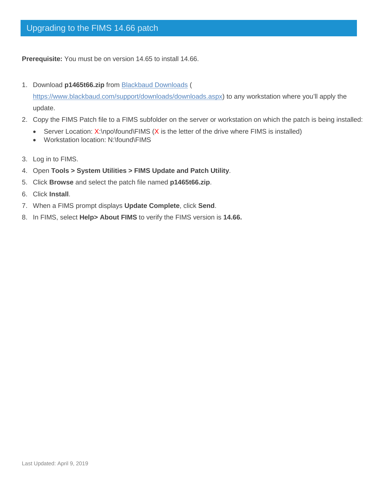**Prerequisite:** You must be on version 14.65 to install 14.66.

- 1. Download **p1465t66.zip** from [Blackbaud Downloads](https://www.blackbaud.com/support/downloads/downloads.aspx) ( [https://www.blackbaud.com/support/downloads/downloads.aspx\)](https://www.blackbaud.com/support/downloads/downloads.aspx) to any workstation where you'll apply the update.
- 2. Copy the FIMS Patch file to a FIMS subfolder on the server or workstation on which the patch is being installed:
	- Server Location: X:\npo\found\FIMS (X is the letter of the drive where FIMS is installed)
	- Workstation location: N:\found\FIMS
- 3. Log in to FIMS.
- 4. Open **Tools > System Utilities > FIMS Update and Patch Utility**.
- 5. Click **Browse** and select the patch file named **p1465t66.zip**.
- 6. Click **Install**.
- 7. When a FIMS prompt displays **Update Complete**, click **Send**.
- 8. In FIMS, select **Help> About FIMS** to verify the FIMS version is **14.66.**